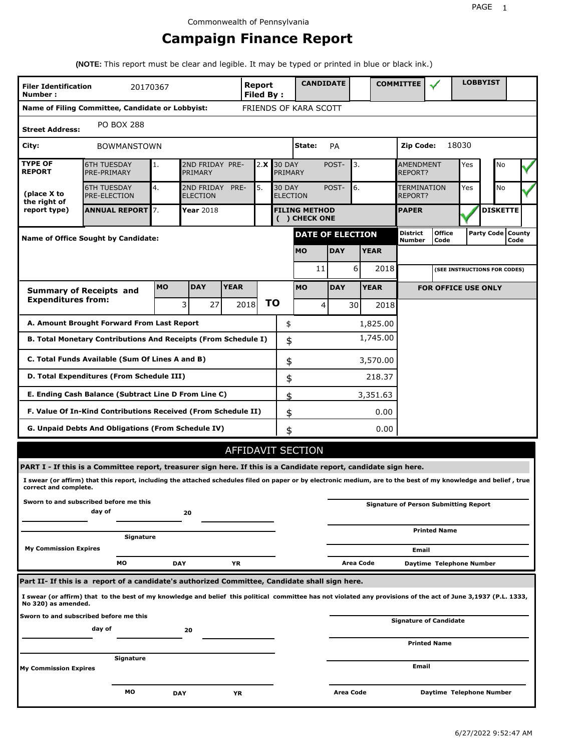# **Campaign Finance Report**

**(NOTE:** This report must be clear and legible. It may be typed or printed in blue or black ink.)

| <b>Filer Identification</b><br>Number:                 | 20170367                                                                                                                                                        |            |                                             |             | Report<br><b>Filed By:</b> |    |                                                 | <b>CANDIDATE</b>                      |                         |                               |             | <b>COMMITTEE</b>                   |                                              |     | <b>LOBBYIST</b>     |      |  |  |
|--------------------------------------------------------|-----------------------------------------------------------------------------------------------------------------------------------------------------------------|------------|---------------------------------------------|-------------|----------------------------|----|-------------------------------------------------|---------------------------------------|-------------------------|-------------------------------|-------------|------------------------------------|----------------------------------------------|-----|---------------------|------|--|--|
|                                                        | Name of Filing Committee, Candidate or Lobbyist:                                                                                                                |            |                                             |             | FRIENDS OF KARA SCOTT      |    |                                                 |                                       |                         |                               |             |                                    |                                              |     |                     |      |  |  |
| <b>Street Address:</b>                                 | <b>PO BOX 288</b>                                                                                                                                               |            |                                             |             |                            |    |                                                 |                                       |                         |                               |             |                                    |                                              |     |                     |      |  |  |
| City:                                                  | <b>BOWMANSTOWN</b>                                                                                                                                              |            |                                             |             |                            |    | State:<br>PA                                    |                                       |                         |                               |             |                                    | 18030<br>Zip Code:                           |     |                     |      |  |  |
| <b>TYPE OF</b><br><b>REPORT</b>                        | <b>6TH TUESDAY</b><br>PRE-PRIMARY                                                                                                                               | 1.         | 2ND FRIDAY PRE-<br>PRIMARY                  |             | 2.X                        |    | <b>30 DAY</b><br><b>PRIMARY</b>                 |                                       | 3.<br>POST-             |                               |             | <b>AMENDMENT</b><br><b>REPORT?</b> |                                              | Yes | No                  |      |  |  |
| (place X to<br>the right of                            | <b>6TH TUESDAY</b><br><b>PRE-ELECTION</b>                                                                                                                       | 4.         | 5.<br>2ND FRIDAY<br>PRE-<br><b>ELECTION</b> |             |                            |    | <b>30 DAY</b><br>6.<br>POST-<br><b>ELECTION</b> |                                       |                         | TERMINATION<br>Yes<br>REPORT? |             |                                    | <b>No</b>                                    |     |                     |      |  |  |
| report type)                                           | <b>ANNUAL REPORT 7.</b>                                                                                                                                         |            | <b>Year 2018</b>                            |             |                            |    |                                                 | <b>FILING METHOD</b><br>( ) CHECK ONE |                         |                               |             | <b>PAPER</b>                       |                                              |     | <b>DISKETTE</b>     |      |  |  |
|                                                        | <b>Name of Office Sought by Candidate:</b>                                                                                                                      |            |                                             |             |                            |    |                                                 |                                       | <b>DATE OF ELECTION</b> |                               |             | District<br>Number                 | <b>Office</b><br>Code                        |     | Party Code   County | Code |  |  |
|                                                        |                                                                                                                                                                 |            |                                             |             |                            |    | <b>MO</b>                                       |                                       | <b>DAY</b>              |                               | <b>YEAR</b> |                                    |                                              |     |                     |      |  |  |
|                                                        |                                                                                                                                                                 |            |                                             |             |                            |    |                                                 | 11                                    |                         | 6                             | 2018        |                                    | (SEE INSTRUCTIONS FOR CODES)                 |     |                     |      |  |  |
|                                                        | <b>Summary of Receipts and</b>                                                                                                                                  | <b>MO</b>  | <b>DAY</b>                                  | <b>YEAR</b> |                            |    | <b>MO</b>                                       |                                       | <b>DAY</b>              |                               | <b>YEAR</b> |                                    | <b>FOR OFFICE USE ONLY</b>                   |     |                     |      |  |  |
| <b>Expenditures from:</b>                              |                                                                                                                                                                 |            | 3<br>27                                     |             | 2018                       | ΤO |                                                 | $\overline{4}$                        |                         | 30                            | 2018        |                                    |                                              |     |                     |      |  |  |
|                                                        | A. Amount Brought Forward From Last Report                                                                                                                      |            |                                             |             |                            |    | \$                                              |                                       |                         |                               | 1,825.00    |                                    |                                              |     |                     |      |  |  |
|                                                        | B. Total Monetary Contributions And Receipts (From Schedule I)                                                                                                  |            |                                             |             |                            |    | \$                                              |                                       |                         |                               | 1,745.00    |                                    |                                              |     |                     |      |  |  |
|                                                        | C. Total Funds Available (Sum Of Lines A and B)                                                                                                                 |            |                                             |             |                            |    | \$                                              |                                       |                         |                               | 3,570.00    |                                    |                                              |     |                     |      |  |  |
|                                                        | D. Total Expenditures (From Schedule III)                                                                                                                       |            |                                             |             |                            |    | \$                                              |                                       |                         |                               | 218.37      |                                    |                                              |     |                     |      |  |  |
|                                                        | E. Ending Cash Balance (Subtract Line D From Line C)                                                                                                            |            |                                             |             |                            |    | \$                                              |                                       |                         |                               | 3,351.63    |                                    |                                              |     |                     |      |  |  |
|                                                        | F. Value Of In-Kind Contributions Received (From Schedule II)                                                                                                   |            |                                             |             |                            |    | \$                                              |                                       |                         |                               | 0.00        |                                    |                                              |     |                     |      |  |  |
|                                                        | <b>G. Unpaid Debts And Obligations (From Schedule IV)</b>                                                                                                       |            |                                             |             |                            |    | \$                                              |                                       |                         |                               | 0.00        |                                    |                                              |     |                     |      |  |  |
|                                                        |                                                                                                                                                                 |            |                                             |             | AFFIDAVIT SECTION          |    |                                                 |                                       |                         |                               |             |                                    |                                              |     |                     |      |  |  |
|                                                        | PART I - If this is a Committee report, treasurer sign here. If this is a Candidate report, candidate sign here.                                                |            |                                             |             |                            |    |                                                 |                                       |                         |                               |             |                                    |                                              |     |                     |      |  |  |
| correct and complete.                                  | I swear (or affirm) that this report, including the attached schedules filed on paper or by electronic medium, are to the best of my knowledge and belief, true |            |                                             |             |                            |    |                                                 |                                       |                         |                               |             |                                    |                                              |     |                     |      |  |  |
|                                                        | Sworn to and subscribed before me this<br>day of                                                                                                                |            | 20                                          |             |                            |    |                                                 |                                       |                         |                               |             |                                    | <b>Signature of Person Submitting Report</b> |     |                     |      |  |  |
|                                                        | Signature                                                                                                                                                       |            |                                             |             |                            |    |                                                 |                                       |                         |                               |             |                                    | <b>Printed Name</b>                          |     |                     |      |  |  |
| <b>My Commission Expires</b>                           |                                                                                                                                                                 |            |                                             |             |                            |    |                                                 |                                       |                         |                               |             | Email                              |                                              |     |                     |      |  |  |
|                                                        | МO                                                                                                                                                              | <b>DAY</b> |                                             | ΥR          |                            |    |                                                 |                                       |                         | Area Code                     |             |                                    | Daytime Telephone Number                     |     |                     |      |  |  |
|                                                        | Part II- If this is a report of a candidate's authorized Committee, Candidate shall sign here.                                                                  |            |                                             |             |                            |    |                                                 |                                       |                         |                               |             |                                    |                                              |     |                     |      |  |  |
| No 320) as amended.                                    | I swear (or affirm) that to the best of my knowledge and belief this political committee has not violated any provisions of the act of June 3,1937 (P.L. 1333,  |            |                                             |             |                            |    |                                                 |                                       |                         |                               |             |                                    |                                              |     |                     |      |  |  |
| Sworn to and subscribed before me this<br>day of<br>20 |                                                                                                                                                                 |            |                                             |             |                            |    |                                                 |                                       |                         |                               |             |                                    | <b>Signature of Candidate</b>                |     |                     |      |  |  |
|                                                        |                                                                                                                                                                 |            |                                             |             |                            |    |                                                 |                                       |                         |                               |             |                                    | <b>Printed Name</b>                          |     |                     |      |  |  |
| <b>My Commission Expires</b>                           | Signature                                                                                                                                                       |            |                                             |             |                            |    |                                                 |                                       |                         |                               |             | Email                              |                                              |     |                     |      |  |  |
|                                                        | мо                                                                                                                                                              | <b>DAY</b> |                                             | ΥR          |                            |    |                                                 |                                       | Area Code               |                               |             |                                    | Daytime Telephone Number                     |     |                     |      |  |  |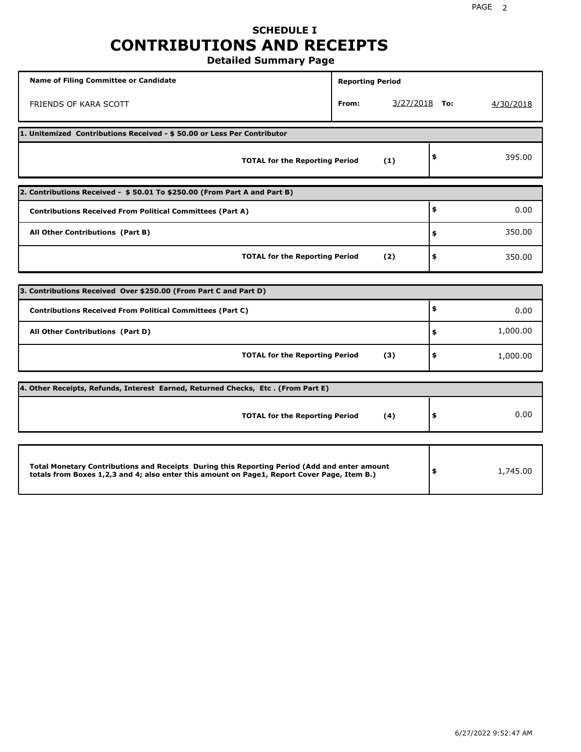## **SCHEDULE I CONTRIBUTIONS AND RECEIPTS Detailed Summary Page**

**Name of Filing Committee or Candidate Reporting Period Reporting Period** FRIENDS OF KARA SCOTT **From:** 3/27/2018 **To:** 4/30/2018 **1. Unitemized Contributions Received - \$ 50.00 or Less Per Contributor TOTAL for the Reporting Period (1) \$** 395.00 **2. Contributions Received - \$ 50.01 To \$250.00 (From Part A and Part B) TOTAL for the Reporting Period (2) Contributions Received From Political Committees (Part A) All Other Contributions (Part B) \$ \$ \$** 0.00 350.00 350.00 **3. Contributions Received Over \$250.00 (From Part C and Part D) TOTAL for the Reporting Period (3) Contributions Received From Political Committees (Part C) All Other Contributions (Part D) \$ \$ \$** 0.00 1,000.00 1,000.00 **4. Other Receipts, Refunds, Interest Earned, Returned Checks, Etc . (From Part E) TOTAL for the Reporting Period (4) \$** 0.00 **Total Monetary Contributions and Receipts During this Reporting Period (Add and enter amount totals from Boxes 1,2,3 and 4; also enter this amount on Page1, Report Cover Page, Item B.) \$** 1,745.00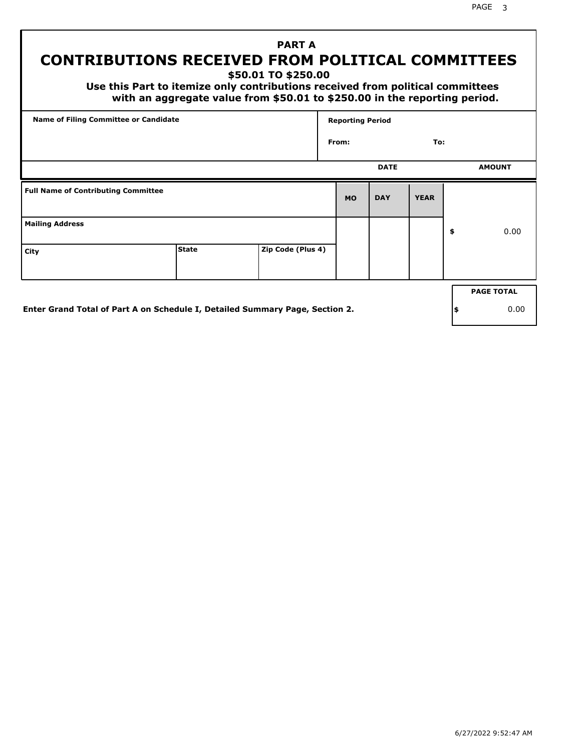PAGE 3

# **PART A CONTRIBUTIONS RECEIVED FROM POLITICAL COMMITTEES**

**\$50.01 TO \$250.00**

 **Use this Part to itemize only contributions received from political committees with an aggregate value from \$50.01 to \$250.00 in the reporting period.**

| Name of Filing Committee or Candidate      |                                                                              |                   | <b>Reporting Period</b> |             |             |     |                   |
|--------------------------------------------|------------------------------------------------------------------------------|-------------------|-------------------------|-------------|-------------|-----|-------------------|
|                                            |                                                                              |                   | From:                   |             | To:         |     |                   |
|                                            |                                                                              |                   |                         | <b>DATE</b> |             |     | <b>AMOUNT</b>     |
| <b>Full Name of Contributing Committee</b> |                                                                              |                   | <b>MO</b>               | <b>DAY</b>  | <b>YEAR</b> |     |                   |
| <b>Mailing Address</b>                     |                                                                              |                   |                         |             |             | \$  | 0.00              |
| City                                       | <b>State</b>                                                                 | Zip Code (Plus 4) |                         |             |             |     |                   |
|                                            |                                                                              |                   |                         |             |             |     | <b>PAGE TOTAL</b> |
|                                            | Enter Grand Total of Part A on Schedule I, Detailed Summary Page, Section 2. |                   |                         |             |             | ∣\$ | 0.00              |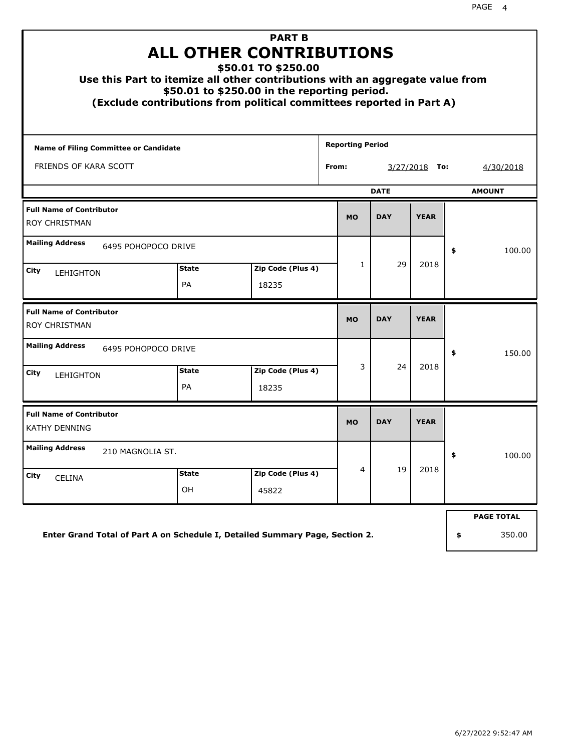| <b>PART B</b><br><b>ALL OTHER CONTRIBUTIONS</b><br>\$50.01 TO \$250.00<br>Use this Part to itemize all other contributions with an aggregate value from<br>\$50.01 to \$250.00 in the reporting period.<br>(Exclude contributions from political committees reported in Part A) |                                                  |                            |  |           |             |                 |    |                   |  |
|---------------------------------------------------------------------------------------------------------------------------------------------------------------------------------------------------------------------------------------------------------------------------------|--------------------------------------------------|----------------------------|--|-----------|-------------|-----------------|----|-------------------|--|
| <b>Reporting Period</b><br>Name of Filing Committee or Candidate                                                                                                                                                                                                                |                                                  |                            |  |           |             |                 |    |                   |  |
| FRIENDS OF KARA SCOTT                                                                                                                                                                                                                                                           |                                                  |                            |  | From:     |             | $3/27/2018$ To: |    | 4/30/2018         |  |
|                                                                                                                                                                                                                                                                                 |                                                  |                            |  |           | <b>DATE</b> |                 |    | <b>AMOUNT</b>     |  |
| <b>Full Name of Contributor</b><br><b>ROY CHRISTMAN</b>                                                                                                                                                                                                                         |                                                  |                            |  | <b>MO</b> | <b>DAY</b>  | <b>YEAR</b>     |    |                   |  |
| <b>Mailing Address</b><br>6495 POHOPOCO DRIVE                                                                                                                                                                                                                                   |                                                  |                            |  |           | 29          |                 | \$ | 100.00            |  |
| City<br>LEHIGHTON                                                                                                                                                                                                                                                               | Zip Code (Plus 4)<br><b>State</b><br>PA<br>18235 |                            |  |           |             | 2018            |    |                   |  |
| <b>Full Name of Contributor</b><br><b>ROY CHRISTMAN</b>                                                                                                                                                                                                                         |                                                  |                            |  | <b>MO</b> | <b>DAY</b>  | <b>YEAR</b>     |    |                   |  |
| <b>Mailing Address</b><br>6495 POHOPOCO DRIVE                                                                                                                                                                                                                                   |                                                  |                            |  |           |             |                 | \$ | 150.00            |  |
| City<br><b>LEHIGHTON</b>                                                                                                                                                                                                                                                        | <b>State</b><br>PA                               | Zip Code (Plus 4)<br>18235 |  | 3         | 24          | 2018            |    |                   |  |
| <b>Full Name of Contributor</b><br><b>KATHY DENNING</b>                                                                                                                                                                                                                         |                                                  |                            |  | <b>MO</b> | <b>DAY</b>  | <b>YEAR</b>     |    |                   |  |
| <b>Mailing Address</b><br>210 MAGNOLIA ST.                                                                                                                                                                                                                                      |                                                  |                            |  |           |             |                 | \$ | 100.00            |  |
| Zip Code (Plus 4)<br>State<br>City<br><b>CELINA</b><br>OH<br>45822                                                                                                                                                                                                              |                                                  |                            |  |           | 19          | 2018            |    |                   |  |
|                                                                                                                                                                                                                                                                                 |                                                  |                            |  |           |             |                 |    | <b>PAGE TOTAL</b> |  |
| Enter Grand Total of Part A on Schedule I, Detailed Summary Page, Section 2.                                                                                                                                                                                                    |                                                  |                            |  |           |             |                 | \$ | 350.00            |  |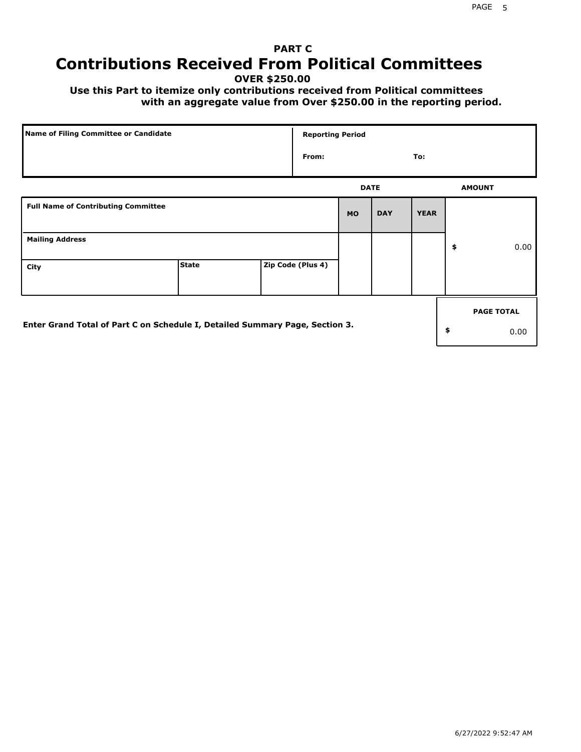# **PART C Contributions Received From Political Committees**

**OVER \$250.00**

 **Use this Part to itemize only contributions received from Political committees with an aggregate value from Over \$250.00 in the reporting period.**

| Name of Filing Committee or Candidate                                        |              |  | <b>Reporting Period</b> |           |             |             |    |                   |
|------------------------------------------------------------------------------|--------------|--|-------------------------|-----------|-------------|-------------|----|-------------------|
|                                                                              |              |  | From:                   |           |             | To:         |    |                   |
|                                                                              |              |  |                         |           | <b>DATE</b> |             |    | <b>AMOUNT</b>     |
| <b>Full Name of Contributing Committee</b>                                   |              |  |                         | <b>MO</b> | <b>DAY</b>  | <b>YEAR</b> |    |                   |
| <b>Mailing Address</b>                                                       |              |  |                         |           |             |             | \$ | 0.00              |
| City                                                                         | <b>State</b> |  | Zip Code (Plus 4)       |           |             |             |    |                   |
|                                                                              |              |  |                         |           |             |             |    | <b>PAGE TOTAL</b> |
| Enter Grand Total of Part C on Schedule I, Detailed Summary Page, Section 3. |              |  |                         |           |             |             | \$ | 0.00              |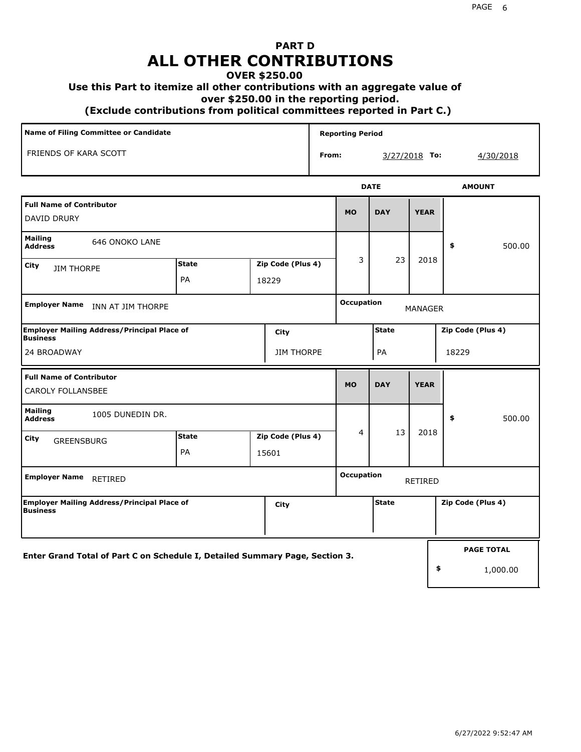## **PART D ALL OTHER CONTRIBUTIONS**

### **OVER \$250.00**

### **Use this Part to itemize all other contributions with an aggregate value of**

 **over \$250.00 in the reporting period.**

 **(Exclude contributions from political committees reported in Part C.)** 

| Name of Filing Committee or Candidate                                        |                                                  |                            |       | <b>Reporting Period</b> |                |               |                   |  |  |
|------------------------------------------------------------------------------|--------------------------------------------------|----------------------------|-------|-------------------------|----------------|---------------|-------------------|--|--|
| FRIENDS OF KARA SCOTT                                                        |                                                  |                            | From: |                         |                | 3/27/2018 To: | <u>4/30/2018</u>  |  |  |
|                                                                              |                                                  |                            |       |                         | <b>DATE</b>    |               | <b>AMOUNT</b>     |  |  |
| <b>Full Name of Contributor</b><br>DAVID DRURY                               |                                                  |                            |       | <b>MO</b>               | <b>DAY</b>     | <b>YEAR</b>   |                   |  |  |
| <b>Mailing</b><br>646 ONOKO LANE<br><b>Address</b>                           |                                                  |                            |       |                         |                |               | 500.00<br>\$      |  |  |
| City<br><b>JIM THORPE</b>                                                    | <b>State</b><br>Zip Code (Plus 4)<br>PA<br>18229 |                            |       | 3                       | 23             | 2018          |                   |  |  |
| <b>Employer Name</b><br>INN AT JIM THORPE                                    |                                                  |                            |       | <b>Occupation</b>       | <b>MANAGER</b> |               |                   |  |  |
| <b>Employer Mailing Address/Principal Place of</b><br><b>Business</b>        |                                                  | City                       |       |                         | <b>State</b>   |               | Zip Code (Plus 4) |  |  |
| 24 BROADWAY                                                                  |                                                  | <b>JIM THORPE</b>          |       |                         | PA             |               | 18229             |  |  |
| <b>Full Name of Contributor</b><br><b>CAROLY FOLLANSBEE</b>                  |                                                  |                            |       | <b>MO</b>               | <b>DAY</b>     | <b>YEAR</b>   |                   |  |  |
| <b>Mailing</b><br>1005 DUNEDIN DR.<br><b>Address</b>                         |                                                  |                            |       |                         |                |               | \$<br>500.00      |  |  |
| City<br><b>GREENSBURG</b>                                                    | <b>State</b><br>PA                               | Zip Code (Plus 4)<br>15601 |       | 4                       | 13             | 2018          |                   |  |  |
| <b>Employer Name</b><br>RETIRED                                              |                                                  |                            |       | <b>Occupation</b>       | <b>RETIRED</b> |               |                   |  |  |
| Employer Mailing Address/Principal Place of<br><b>Business</b>               |                                                  | City                       |       |                         | <b>State</b>   |               | Zip Code (Plus 4) |  |  |
| Enter Grand Total of Part C on Schedule I, Detailed Summary Page, Section 3. |                                                  |                            |       |                         |                |               | <b>PAGE TOTAL</b> |  |  |
|                                                                              |                                                  |                            |       |                         |                |               | \$<br>1,000.00    |  |  |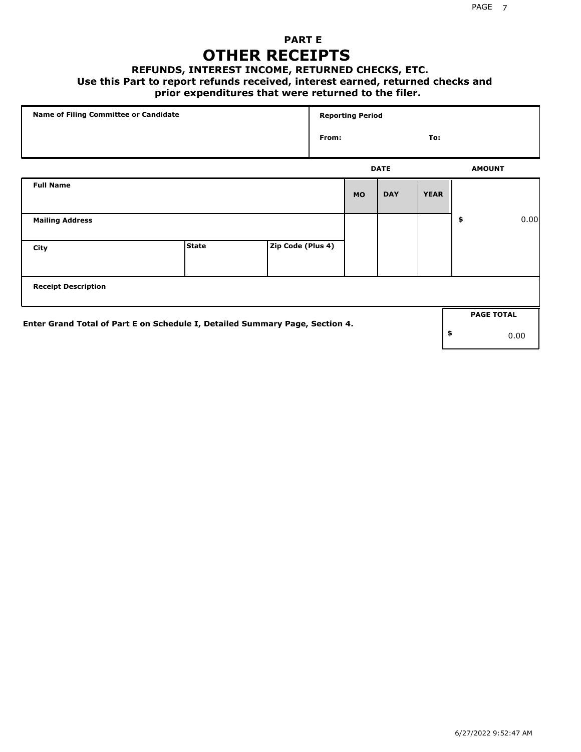## **PART E OTHER RECEIPTS**

#### **REFUNDS, INTEREST INCOME, RETURNED CHECKS, ETC.**

 **Use this Part to report refunds received, interest earned, returned checks and**

## **prior expenditures that were returned to the filer.**

| Name of Filing Committee or Candidate                                        |              |                   |       | <b>Reporting Period</b> |             |             |                   |      |
|------------------------------------------------------------------------------|--------------|-------------------|-------|-------------------------|-------------|-------------|-------------------|------|
|                                                                              |              |                   | From: |                         |             | To:         |                   |      |
|                                                                              |              |                   |       |                         | <b>DATE</b> |             | <b>AMOUNT</b>     |      |
| <b>Full Name</b>                                                             |              |                   |       | <b>MO</b>               | <b>DAY</b>  | <b>YEAR</b> |                   |      |
| <b>Mailing Address</b>                                                       |              |                   |       |                         |             |             | \$                | 0.00 |
| City                                                                         | <b>State</b> | Zip Code (Plus 4) |       |                         |             |             |                   |      |
| <b>Receipt Description</b>                                                   |              |                   |       |                         |             |             |                   |      |
|                                                                              |              |                   |       |                         |             |             | <b>PAGE TOTAL</b> |      |
| Enter Grand Total of Part E on Schedule I, Detailed Summary Page, Section 4. |              |                   |       |                         |             |             | \$                | 0.00 |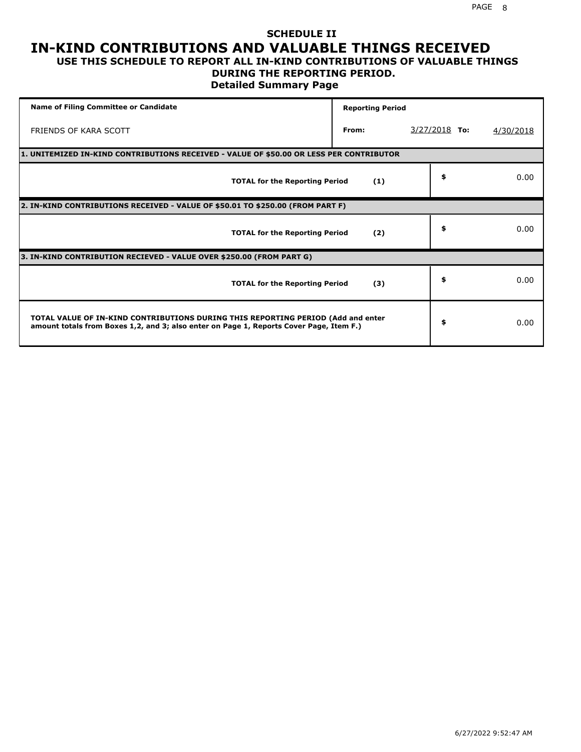### **SCHEDULE II IN-KIND CONTRIBUTIONS AND VALUABLE THINGS RECEIVED USE THIS SCHEDULE TO REPORT ALL IN-KIND CONTRIBUTIONS OF VALUABLE THINGS**

## **DURING THE REPORTING PERIOD.**

**Detailed Summary Page**

| <b>Name of Filing Committee or Candidate</b>                                                                                                                                | <b>Reporting Period</b> |                 |           |
|-----------------------------------------------------------------------------------------------------------------------------------------------------------------------------|-------------------------|-----------------|-----------|
| FRIENDS OF KARA SCOTT                                                                                                                                                       | From:                   | $3/27/2018$ To: | 4/30/2018 |
| 1. UNITEMIZED IN-KIND CONTRIBUTIONS RECEIVED - VALUE OF \$50.00 OR LESS PER CONTRIBUTOR                                                                                     |                         |                 |           |
| <b>TOTAL for the Reporting Period</b>                                                                                                                                       | (1)                     | \$              | 0.00      |
| 2. IN-KIND CONTRIBUTIONS RECEIVED - VALUE OF \$50.01 TO \$250.00 (FROM PART F)                                                                                              |                         |                 |           |
| <b>TOTAL for the Reporting Period</b>                                                                                                                                       | (2)                     | \$              | 0.00      |
| 3. IN-KIND CONTRIBUTION RECIEVED - VALUE OVER \$250.00 (FROM PART G)                                                                                                        |                         |                 |           |
| <b>TOTAL for the Reporting Period</b>                                                                                                                                       | (3)                     | \$              | 0.00      |
| TOTAL VALUE OF IN-KIND CONTRIBUTIONS DURING THIS REPORTING PERIOD (Add and enter<br>amount totals from Boxes 1,2, and 3; also enter on Page 1, Reports Cover Page, Item F.) |                         | \$              | 0.00      |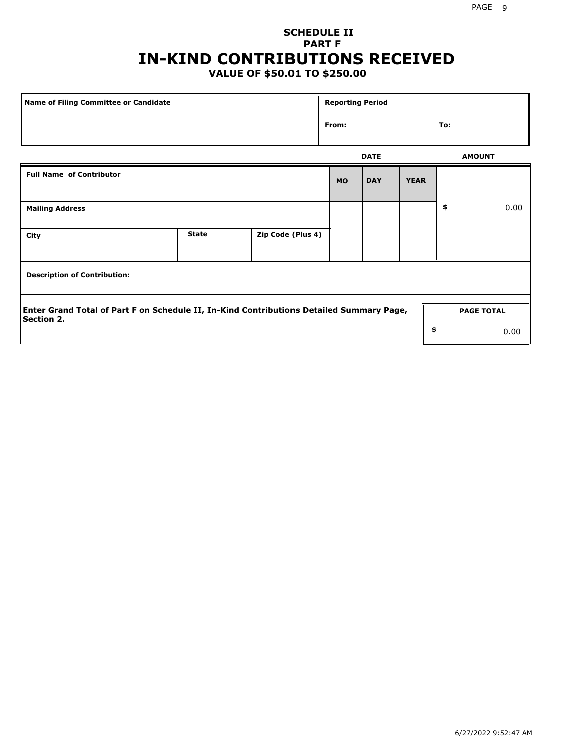## **SCHEDULE II PART F IN-KIND CONTRIBUTIONS RECEIVED**

## **VALUE OF \$50.01 TO \$250.00**

| Name of Filing Committee or Candidate                                                                         |              |                   | <b>Reporting Period</b> |             |             |                   |      |  |
|---------------------------------------------------------------------------------------------------------------|--------------|-------------------|-------------------------|-------------|-------------|-------------------|------|--|
| From:                                                                                                         |              |                   |                         |             |             | To:               |      |  |
|                                                                                                               |              |                   |                         | <b>DATE</b> |             | <b>AMOUNT</b>     |      |  |
| <b>Full Name of Contributor</b>                                                                               |              |                   | <b>MO</b>               | <b>DAY</b>  | <b>YEAR</b> |                   |      |  |
| <b>Mailing Address</b>                                                                                        |              |                   |                         |             |             | \$                | 0.00 |  |
| City                                                                                                          | <b>State</b> | Zip Code (Plus 4) |                         |             |             |                   |      |  |
| <b>Description of Contribution:</b>                                                                           |              |                   |                         |             |             |                   |      |  |
| Enter Grand Total of Part F on Schedule II, In-Kind Contributions Detailed Summary Page,<br><b>Section 2.</b> |              |                   |                         |             |             | <b>PAGE TOTAL</b> |      |  |
|                                                                                                               |              |                   |                         |             | \$          |                   | 0.00 |  |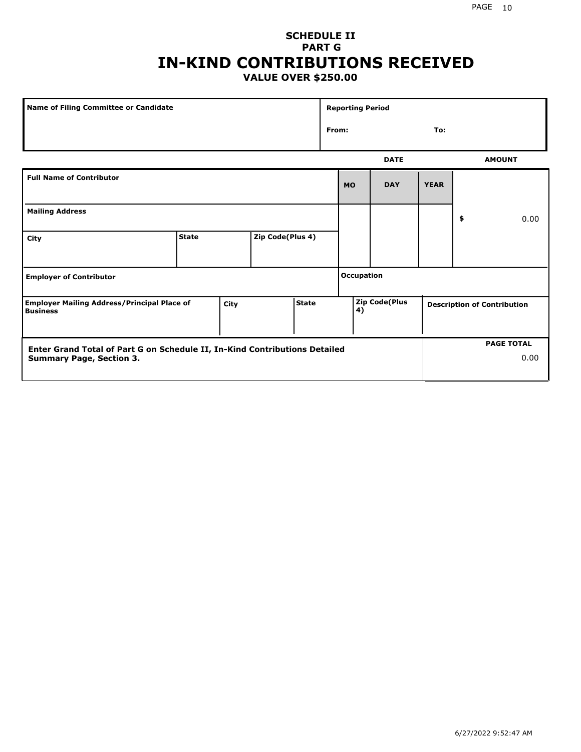## **SCHEDULE II PART G IN-KIND CONTRIBUTIONS RECEIVED VALUE OVER \$250.00**

| Name of Filing Committee or Candidate                                                         |              |  |                  | <b>Reporting Period</b>                                   |                              |              |             |  |    |      |
|-----------------------------------------------------------------------------------------------|--------------|--|------------------|-----------------------------------------------------------|------------------------------|--------------|-------------|--|----|------|
|                                                                                               |              |  |                  |                                                           |                              | From:<br>To: |             |  |    |      |
|                                                                                               |              |  |                  |                                                           | <b>DATE</b><br><b>AMOUNT</b> |              |             |  |    |      |
| <b>Full Name of Contributor</b>                                                               |              |  |                  |                                                           | <b>MO</b>                    | <b>DAY</b>   | <b>YEAR</b> |  |    |      |
| <b>Mailing Address</b>                                                                        |              |  |                  |                                                           |                              |              |             |  | \$ | 0.00 |
| City                                                                                          | <b>State</b> |  | Zip Code(Plus 4) |                                                           |                              |              |             |  |    |      |
| <b>Employer of Contributor</b>                                                                |              |  |                  |                                                           | <b>Occupation</b>            |              |             |  |    |      |
| <b>State</b><br><b>Employer Mailing Address/Principal Place of</b><br>City<br><b>Business</b> |              |  |                  | Zip Code(Plus<br><b>Description of Contribution</b><br>4) |                              |              |             |  |    |      |

| Enter Grand Total of Part G on Schedule II, In-Kind Contributions Detailed |  | <b>PAGE TOTAL</b> |
|----------------------------------------------------------------------------|--|-------------------|
| <b>Summary Page, Section 3.</b>                                            |  | 0.00              |
|                                                                            |  |                   |